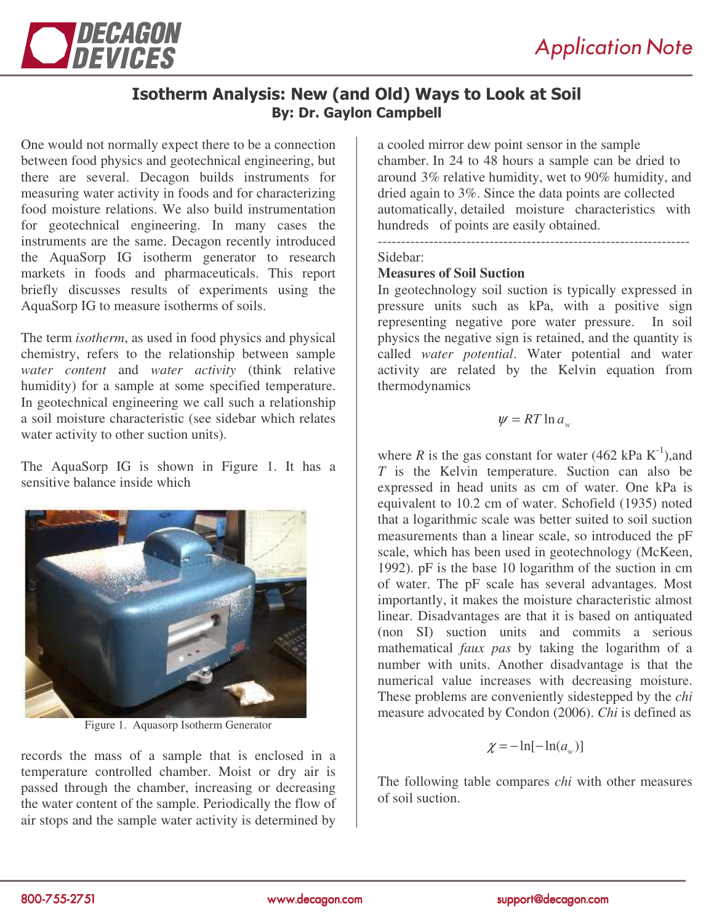

# Isotherm Analysis: New (and Old) Ways to Look at Soil **By: Dr. Gaylon Campbell**

One would not normally expect there to be a connection between food physics and geotechnical engineering, but there are several. Decagon builds instruments for measuring water activity in foods and for characterizing food moisture relations. We also build instrumentation for geotechnical engineering. In many cases the instruments are the same. Decagon recently introduced the AquaSorp IG isotherm generator to research markets in foods and pharmaceuticals. This report briefly discusses results of experiments using the AquaSorp IG to measure isotherms of soils.

The term *isotherm*, as used in food physics and physical chemistry, refers to the relationship between sample *water content* and *water activity* (think relative humidity) for a sample at some specified temperature. In geotechnical engineering we call such a relationship a soil moisture characteristic (see sidebar which relates water activity to other suction units).

The AquaSorp IG is shown in Figure 1. It has a sensitive balance inside which



Figure 1. Aquasorp Isotherm Generator

records the mass of a sample that is enclosed in a temperature controlled chamber. Moist or dry air is passed through the chamber, increasing or decreasing the water content of the sample. Periodically the flow of air stops and the sample water activity is determined by

a cooled mirror dew point sensor in the sample chamber. In 24 to 48 hours a sample can be dried to around 3% relative humidity, wet to 90% humidity, and dried again to 3%. Since the data points are collected automatically, detailed moisture characteristics with hundreds of points are easily obtained. -------------------------------------------------------------------

Sidebar:

# **Measures of Soil Suction**

In geotechnology soil suction is typically expressed in pressure units such as kPa, with a positive sign representing negative pore water pressure. In soil physics the negative sign is retained, and the quantity is called *water potential*. Water potential and water activity are related by the Kelvin equation from thermodynamics

$$
\psi = RT \ln a_{w}
$$

where *R* is the gas constant for water (462 kPa  $K^{-1}$ ), and *T* is the Kelvin temperature. Suction can also be expressed in head units as cm of water. One kPa is equivalent to 10.2 cm of water. Schofield (1935) noted that a logarithmic scale was better suited to soil suction measurements than a linear scale, so introduced the pF scale, which has been used in geotechnology (McKeen, 1992). pF is the base 10 logarithm of the suction in cm of water. The pF scale has several advantages. Most importantly, it makes the moisture characteristic almost linear. Disadvantages are that it is based on antiquated (non SI) suction units and commits a serious mathematical *faux pas* by taking the logarithm of a number with units. Another disadvantage is that the numerical value increases with decreasing moisture. These problems are conveniently sidestepped by the *chi* measure advocated by Condon (2006). *Chi* is defined as

$$
\chi = -\ln[-\ln(a_w)]
$$

The following table compares *chi* with other measures of soil suction.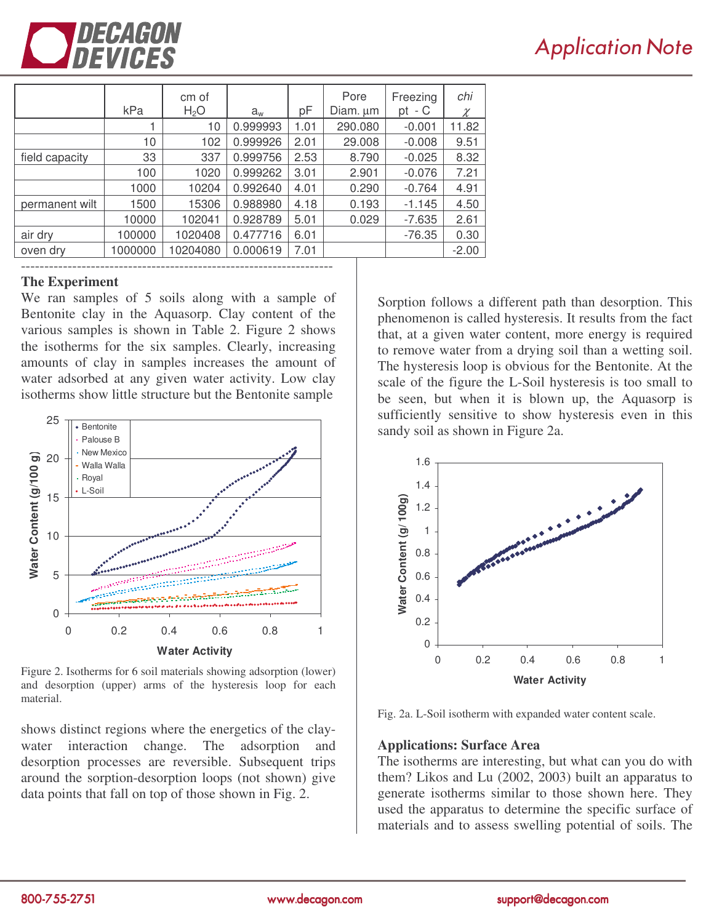

# **Application Note**

|                | kPa     | cm of<br>H <sub>2</sub> O | $a_{w}$  | pF   | Pore<br>Diam. um | Freezing<br>- C<br>pt | chi<br>χ |
|----------------|---------|---------------------------|----------|------|------------------|-----------------------|----------|
|                |         | 10                        | 0.999993 | 1.01 | 290.080          | $-0.001$              | 11.82    |
|                | 10      | 102                       | 0.999926 | 2.01 | 29.008           | $-0.008$              | 9.51     |
| field capacity | 33      | 337                       | 0.999756 | 2.53 | 8.790            | $-0.025$              | 8.32     |
|                | 100     | 1020                      | 0.999262 | 3.01 | 2.901            | $-0.076$              | 7.21     |
|                | 1000    | 10204                     | 0.992640 | 4.01 | 0.290            | $-0.764$              | 4.91     |
| permanent wilt | 1500    | 15306                     | 0.988980 | 4.18 | 0.193            | $-1.145$              | 4.50     |
|                | 10000   | 102041                    | 0.928789 | 5.01 | 0.029            | $-7.635$              | 2.61     |
| air dry        | 100000  | 1020408                   | 0.477716 | 6.01 |                  | $-76.35$              | 0.30     |
| oven dry       | 1000000 | 10204080                  | 0.000619 | 7.01 |                  |                       | $-2.00$  |
|                |         |                           |          |      |                  |                       |          |

#### **The Experiment**

We ran samples of 5 soils along with a sample of Bentonite clay in the Aquasorp. Clay content of the various samples is shown in Table 2. Figure 2 shows the isotherms for the six samples. Clearly, increasing amounts of clay in samples increases the amount of water adsorbed at any given water activity. Low clay isotherms show little structure but the Bentonite sample



Figure 2. Isotherms for 6 soil materials showing adsorption (lower) and desorption (upper) arms of the hysteresis loop for each material.

shows distinct regions where the energetics of the claywater interaction change. The adsorption and desorption processes are reversible. Subsequent trips around the sorption-desorption loops (not shown) give data points that fall on top of those shown in Fig. 2.

Sorption follows a different path than desorption. This phenomenon is called hysteresis. It results from the fact that, at a given water content, more energy is required to remove water from a drying soil than a wetting soil. The hysteresis loop is obvious for the Bentonite. At the scale of the figure the L-Soil hysteresis is too small to be seen, but when it is blown up, the Aquasorp is sufficiently sensitive to show hysteresis even in this sandy soil as shown in Figure 2a.



Fig. 2a. L-Soil isotherm with expanded water content scale.

#### **Applications: Surface Area**

The isotherms are interesting, but what can you do with them? Likos and Lu (2002, 2003) built an apparatus to generate isotherms similar to those shown here. They used the apparatus to determine the specific surface of materials and to assess swelling potential of soils. The

www.decagon.com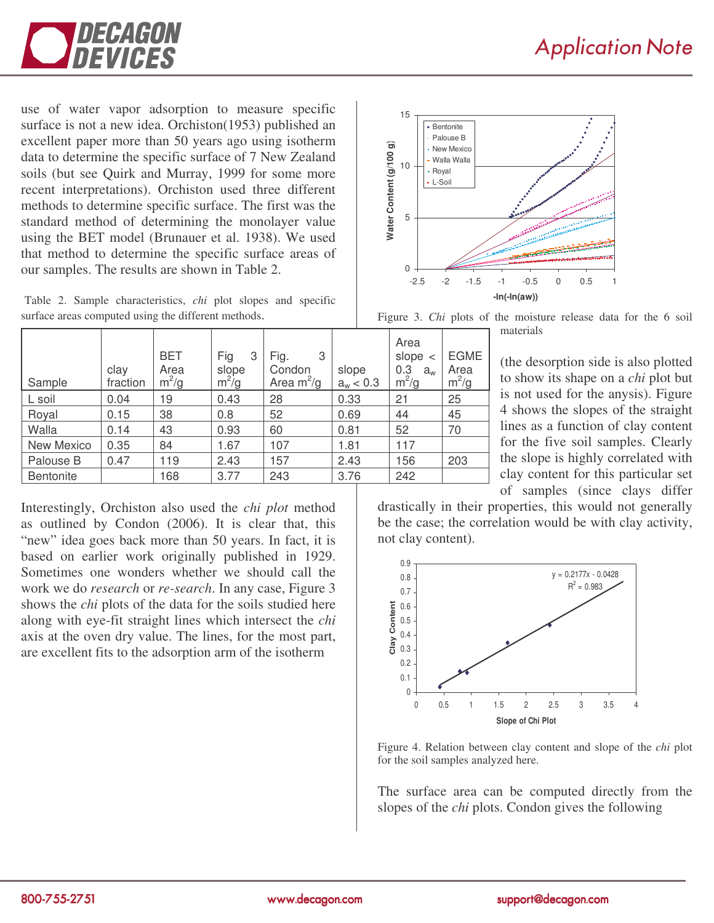

use of water vapor adsorption to measure specific surface is not a new idea. Orchiston(1953) published an excellent paper more than 50 years ago using isotherm data to determine the specific surface of 7 New Zealand soils (but see Quirk and Murray, 1999 for some more recent interpretations). Orchiston used three different methods to determine specific surface. The first was the standard method of determining the monolayer value using the BET model (Brunauer et al. 1938). We used that method to determine the specific surface areas of our samples. The results are shown in Table 2.

Table 2. Sample characteristics, *chi* plot slopes and specific surface areas computed using the different methods.

| Sample           | clay<br>fraction | <b>BET</b><br>Area<br>$m^2/g$ | Fig<br>3<br>slope<br>$m^2/g$ | 3<br>Fig.<br>Condon<br>Area $m^2/g$ | slope<br>$a_w < 0.3$ | Area<br>slope $\lt$<br>0.3<br>$a_{w}$<br>$m^2/g$ | <b>EGME</b><br>Area<br>$m^2/g$ |
|------------------|------------------|-------------------------------|------------------------------|-------------------------------------|----------------------|--------------------------------------------------|--------------------------------|
| L soil           | 0.04             | 19                            | 0.43                         | 28                                  | 0.33                 | 21                                               | 25                             |
| Royal            | 0.15             | 38                            | 0.8                          | 52                                  | 0.69                 | 44                                               | 45                             |
| Walla            | 0.14             | 43                            | 0.93                         | 60                                  | 0.81                 | 52                                               | 70                             |
| New Mexico       | 0.35             | 84                            | 1.67                         | 107                                 | 1.81                 | 117                                              |                                |
| Palouse B        | 0.47             | 119                           | 2.43                         | 157                                 | 2.43                 | 156                                              | 203                            |
| <b>Bentonite</b> |                  | 168                           | 3.77                         | 243                                 | 3.76                 | 242                                              |                                |

Interestingly, Orchiston also used the *chi plot* method as outlined by Condon (2006). It is clear that, this "new" idea goes back more than 50 years. In fact, it is based on earlier work originally published in 1929. Sometimes one wonders whether we should call the work we do *research* or *re-search*. In any case, Figure 3 shows the *chi* plots of the data for the soils studied here along with eye-fit straight lines which intersect the *chi* axis at the oven dry value. The lines, for the most part, are excellent fits to the adsorption arm of the isotherm



Figure 3. *Chi* plots of the moisture release data for the 6 soil materials

(the desorption side is also plotted to show its shape on a *chi* plot but is not used for the anysis). Figure 4 shows the slopes of the straight lines as a function of clay content for the five soil samples. Clearly the slope is highly correlated with clay content for this particular set of samples (since clays differ

drastically in their properties, this would not generally be the case; the correlation would be with clay activity, not clay content).



Figure 4. Relation between clay content and slope of the *chi* plot for the soil samples analyzed here.

The surface area can be computed directly from the slopes of the *chi* plots. Condon gives the following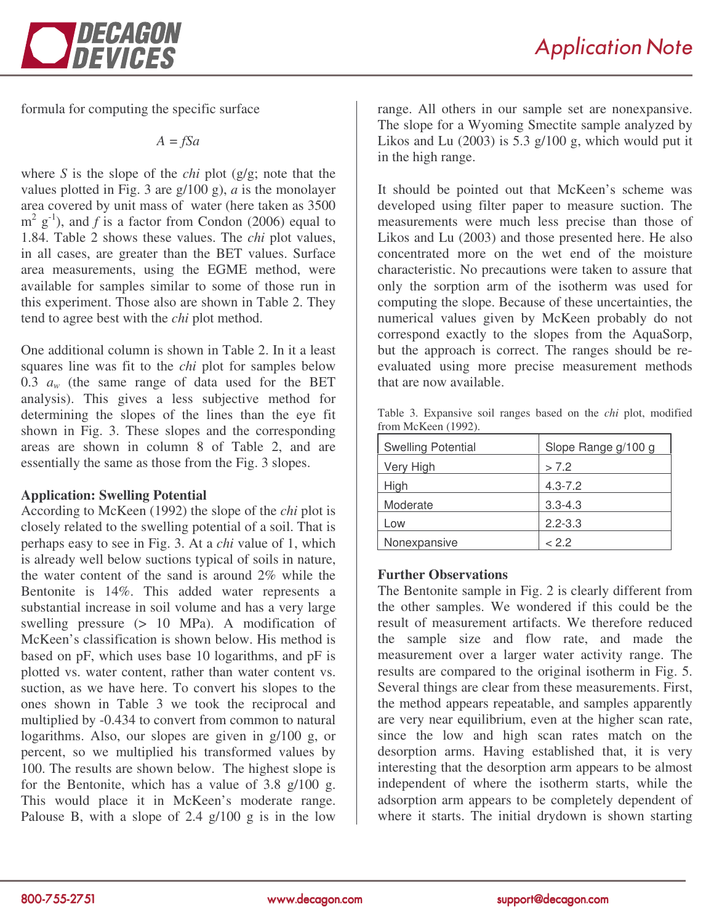

formula for computing the specific surface

*A = fSa*

where *S* is the slope of the *chi* plot (g/g; note that the values plotted in Fig. 3 are g/100 g), *a* is the monolayer area covered by unit mass of water (here taken as 3500  $m^2$  g<sup>-1</sup>), and *f* is a factor from Condon (2006) equal to 1.84. Table 2 shows these values. The *chi* plot values, in all cases, are greater than the BET values. Surface area measurements, using the EGME method, were available for samples similar to some of those run in this experiment. Those also are shown in Table 2. They tend to agree best with the *chi* plot method.

One additional column is shown in Table 2. In it a least squares line was fit to the *chi* plot for samples below 0.3  $a_w$  (the same range of data used for the BET analysis). This gives a less subjective method for determining the slopes of the lines than the eye fit shown in Fig. 3. These slopes and the corresponding areas are shown in column 8 of Table 2, and are essentially the same as those from the Fig. 3 slopes.

# **Application: Swelling Potential**

According to McKeen (1992) the slope of the *chi* plot is closely related to the swelling potential of a soil. That is perhaps easy to see in Fig. 3. At a *chi* value of 1, which is already well below suctions typical of soils in nature, the water content of the sand is around 2% while the Bentonite is 14%. This added water represents a substantial increase in soil volume and has a very large swelling pressure (> 10 MPa). A modification of McKeen's classification is shown below. His method is based on pF, which uses base 10 logarithms, and pF is plotted vs. water content, rather than water content vs. suction, as we have here. To convert his slopes to the ones shown in Table 3 we took the reciprocal and multiplied by -0.434 to convert from common to natural logarithms. Also, our slopes are given in g/100 g, or percent, so we multiplied his transformed values by 100. The results are shown below. The highest slope is for the Bentonite, which has a value of 3.8 g/100 g. This would place it in McKeen's moderate range. Palouse B, with a slope of  $2.4 \text{ g}/100 \text{ g}$  is in the low

range. All others in our sample set are nonexpansive. The slope for a Wyoming Smectite sample analyzed by Likos and Lu  $(2003)$  is 5.3 g/100 g, which would put it in the high range.

It should be pointed out that McKeen's scheme was developed using filter paper to measure suction. The measurements were much less precise than those of Likos and Lu (2003) and those presented here. He also concentrated more on the wet end of the moisture characteristic. No precautions were taken to assure that only the sorption arm of the isotherm was used for computing the slope. Because of these uncertainties, the numerical values given by McKeen probably do not correspond exactly to the slopes from the AquaSorp, but the approach is correct. The ranges should be reevaluated using more precise measurement methods that are now available.

|  | Table 3. Expansive soil ranges based on the <i>chi</i> plot, modified |  |  |  |  |  |
|--|-----------------------------------------------------------------------|--|--|--|--|--|
|  | from McKeen (1992).                                                   |  |  |  |  |  |
|  |                                                                       |  |  |  |  |  |

| <b>Swelling Potential</b> | Slope Range g/100 g |  |  |  |  |
|---------------------------|---------------------|--|--|--|--|
| Very High                 | > 7.2               |  |  |  |  |
| High                      | $4.3 - 7.2$         |  |  |  |  |
| Moderate                  | $3.3 - 4.3$         |  |  |  |  |
| Low                       | $2.2 - 3.3$         |  |  |  |  |
| Nonexpansive              | < 2.2               |  |  |  |  |

# **Further Observations**

The Bentonite sample in Fig. 2 is clearly different from the other samples. We wondered if this could be the result of measurement artifacts. We therefore reduced the sample size and flow rate, and made the measurement over a larger water activity range. The results are compared to the original isotherm in Fig. 5. Several things are clear from these measurements. First, the method appears repeatable, and samples apparently are very near equilibrium, even at the higher scan rate, since the low and high scan rates match on the desorption arms. Having established that, it is very interesting that the desorption arm appears to be almost independent of where the isotherm starts, while the adsorption arm appears to be completely dependent of where it starts. The initial drydown is shown starting